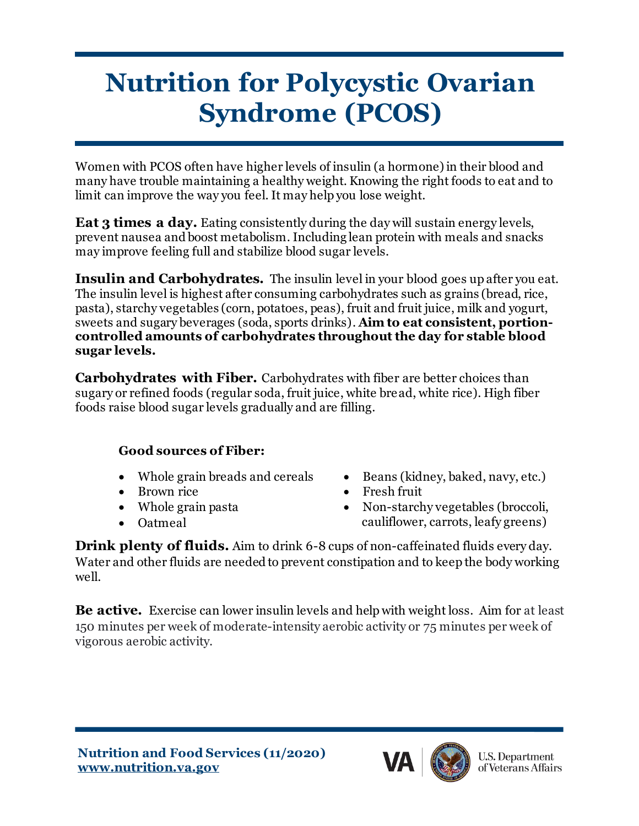## **Nutrition for Polycystic Ovarian Syndrome (PCOS)**

Women with PCOS often have higher levels of insulin (a hormone) in their blood and many have trouble maintaining a healthy weight. Knowing the right foods to eat and to limit can improve the way you feel. It may help you lose weight.

**Eat 3 times a day.** Eating consistently during the day will sustain energy levels, prevent nausea and boost metabolism. Including lean protein with meals and snacks may improve feeling full and stabilize blood sugar levels.

**Insulin and Carbohydrates.** The insulin level in your blood goes up after you eat. The insulin level is highest after consuming carbohydrates such as grains (bread, rice, pasta), starchy vegetables (corn, potatoes, peas), fruit and fruit juice, milk and yogurt, sweets and sugary beverages (soda, sports drinks). **Aim to eat consistent, portioncontrolled amounts of carbohydrates throughout the day for stable blood sugar levels.** 

**Carbohydrates with Fiber.** Carbohydrates with fiber are better choices than sugary or refined foods (regular soda, fruit juice, white bread, white rice). High fiber foods raise blood sugar levels gradually and are filling.

## **Good sources of Fiber:**

- 
- Brown rice Fresh fruit
- 
- 
- Whole grain breads and cereals Beans (kidney, baked, navy, etc.)
	-
- Whole grain pasta Non-starchy vegetables (broccoli, • Oatmeal cauliflower, carrots, leafy greens)

**Drink plenty of fluids.** Aim to drink 6-8 cups of non-caffeinated fluids every day. Water and other fluids are needed to prevent constipation and to keep the body working well.

**Be active.** Exercise can lower insulin levels and help with weight loss. Aim for at least 150 minutes per week of moderate-intensity aerobic activity or 75 minutes per week of vigorous aerobic activity.

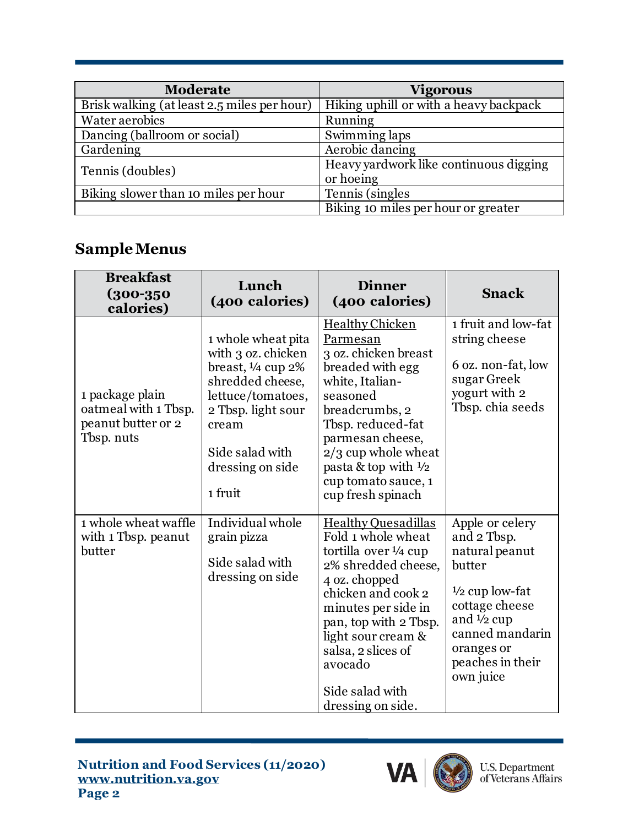| <b>Moderate</b>                             | <b>Vigorous</b>                        |  |
|---------------------------------------------|----------------------------------------|--|
| Brisk walking (at least 2.5 miles per hour) | Hiking uphill or with a heavy backpack |  |
| Water aerobics                              | Running                                |  |
| Dancing (ballroom or social)                | Swimming laps                          |  |
| Gardening                                   | Aerobic dancing                        |  |
| Tennis (doubles)                            | Heavy yardwork like continuous digging |  |
|                                             | or hoeing                              |  |
| Biking slower than 10 miles per hour        | Tennis (singles)                       |  |
|                                             | Biking 10 miles per hour or greater    |  |

## **Sample Menus**

| <b>Breakfast</b><br>$(300 - 350)$<br>calories)                              | Lunch<br>(400 calories)                                                                                                                                                                               | <b>Dinner</b><br>(400 calories)                                                                                                                                                                                                                                                 | <b>Snack</b>                                                                                                                                                                                         |
|-----------------------------------------------------------------------------|-------------------------------------------------------------------------------------------------------------------------------------------------------------------------------------------------------|---------------------------------------------------------------------------------------------------------------------------------------------------------------------------------------------------------------------------------------------------------------------------------|------------------------------------------------------------------------------------------------------------------------------------------------------------------------------------------------------|
| 1 package plain<br>oatmeal with 1 Tbsp.<br>peanut butter or 2<br>Tbsp. nuts | 1 whole wheat pita<br>with 3 oz. chicken<br>breast, $\frac{1}{4}$ cup $2\%$<br>shredded cheese,<br>lettuce/tomatoes,<br>2 Tbsp. light sour<br>cream<br>Side salad with<br>dressing on side<br>1 fruit | <b>Healthy Chicken</b><br>Parmesan<br>3 oz. chicken breast<br>breaded with egg<br>white, Italian-<br>seasoned<br>breadcrumbs, 2<br>Tbsp. reduced-fat<br>parmesan cheese,<br>$2/3$ cup whole wheat<br>pasta & top with $\frac{1}{2}$<br>cup tomato sauce, 1<br>cup fresh spinach | 1 fruit and low-fat<br>string cheese<br>6 oz. non-fat, low<br>sugar Greek<br>yogurt with 2<br>Tbsp. chia seeds                                                                                       |
| 1 whole wheat waffle<br>with 1 Tbsp. peanut<br>butter                       | Individual whole<br>grain pizza<br>Side salad with<br>dressing on side                                                                                                                                | Healthy Quesadillas<br>Fold 1 whole wheat<br>tortilla over 1/4 cup<br>2% shredded cheese,<br>4 oz. chopped<br>chicken and cook 2<br>minutes per side in<br>pan, top with 2 Tbsp.<br>light sour cream &<br>salsa, 2 slices of<br>avocado<br>Side salad with<br>dressing on side. | Apple or celery<br>and 2 Tbsp.<br>natural peanut<br>butter<br>$\frac{1}{2}$ cup low-fat<br>cottage cheese<br>and $\frac{1}{2}$ cup<br>canned mandarin<br>oranges or<br>peaches in their<br>own juice |